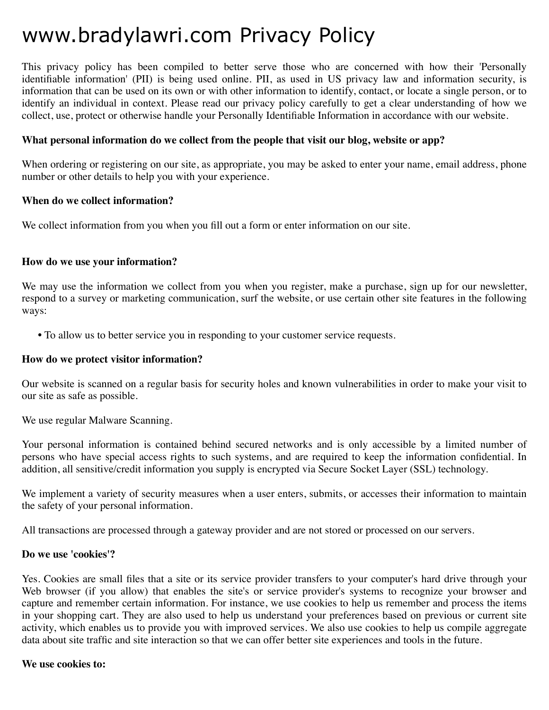# www.bradylawri.com Privacy Policy

This privacy policy has been compiled to better serve those who are concerned with how their 'Personally identifiable information' (PII) is being used online. PII, as used in US privacy law and information security, is information that can be used on its own or with other information to identify, contact, or locate a single person, or to identify an individual in context. Please read our privacy policy carefully to get a clear understanding of how we collect, use, protect or otherwise handle your Personally Identifiable Information in accordance with our website.

#### **What personal information do we collect from the people that visit our blog, website or app?**

When ordering or registering on our site, as appropriate, you may be asked to enter your name, email address, phone number or other details to help you with your experience.

#### **When do we collect information?**

We collect information from you when you fill out a form or enter information on our site.

#### **How do we use your information?**

We may use the information we collect from you when you register, make a purchase, sign up for our newsletter, respond to a survey or marketing communication, surf the website, or use certain other site features in the following ways:

**•** To allow us to better service you in responding to your customer service requests.

#### **How do we protect visitor information?**

Our website is scanned on a regular basis for security holes and known vulnerabilities in order to make your visit to our site as safe as possible.

We use regular Malware Scanning.

Your personal information is contained behind secured networks and is only accessible by a limited number of persons who have special access rights to such systems, and are required to keep the information confidential. In addition, all sensitive/credit information you supply is encrypted via Secure Socket Layer (SSL) technology.

We implement a variety of security measures when a user enters, submits, or accesses their information to maintain the safety of your personal information.

All transactions are processed through a gateway provider and are not stored or processed on our servers.

#### **Do we use 'cookies'?**

Yes. Cookies are small files that a site or its service provider transfers to your computer's hard drive through your Web browser (if you allow) that enables the site's or service provider's systems to recognize your browser and capture and remember certain information. For instance, we use cookies to help us remember and process the items in your shopping cart. They are also used to help us understand your preferences based on previous or current site activity, which enables us to provide you with improved services. We also use cookies to help us compile aggregate data about site traffic and site interaction so that we can offer better site experiences and tools in the future.

#### **We use cookies to:**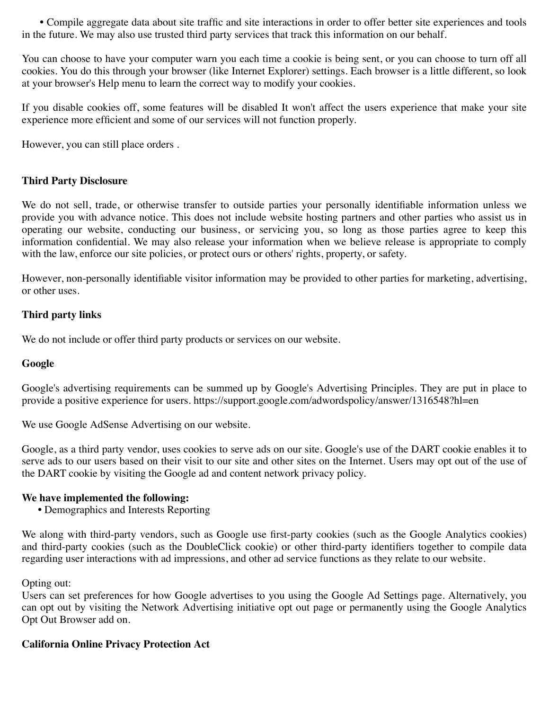**•** Compile aggregate data about site traffic and site interactions in order to offer better site experiences and tools in the future. We may also use trusted third party services that track this information on our behalf.

You can choose to have your computer warn you each time a cookie is being sent, or you can choose to turn off all cookies. You do this through your browser (like Internet Explorer) settings. Each browser is a little different, so look at your browser's Help menu to learn the correct way to modify your cookies.

If you disable cookies off, some features will be disabled It won't affect the users experience that make your site experience more efficient and some of our services will not function properly.

However, you can still place orders .

# **Third Party Disclosure**

We do not sell, trade, or otherwise transfer to outside parties your personally identifiable information unless we provide you with advance notice. This does not include website hosting partners and other parties who assist us in operating our website, conducting our business, or servicing you, so long as those parties agree to keep this information confidential. We may also release your information when we believe release is appropriate to comply with the law, enforce our site policies, or protect ours or others' rights, property, or safety.

However, non-personally identifiable visitor information may be provided to other parties for marketing, advertising, or other uses.

# **Third party links**

We do not include or offer third party products or services on our website.

#### **Google**

Google's advertising requirements can be summed up by Google's Advertising Principles. They are put in place to provide a positive experience for users. https://support.google.com/adwordspolicy/answer/1316548?hl=en

We use Google AdSense Advertising on our website.

Google, as a third party vendor, uses cookies to serve ads on our site. Google's use of the DART cookie enables it to serve ads to our users based on their visit to our site and other sites on the Internet. Users may opt out of the use of the DART cookie by visiting the Google ad and content network privacy policy.

#### **We have implemented the following:**

**•** Demographics and Interests Reporting

We along with third-party vendors, such as Google use first-party cookies (such as the Google Analytics cookies) and third-party cookies (such as the DoubleClick cookie) or other third-party identifiers together to compile data regarding user interactions with ad impressions, and other ad service functions as they relate to our website.

#### Opting out:

Users can set preferences for how Google advertises to you using the Google Ad Settings page. Alternatively, you can opt out by visiting the Network Advertising initiative opt out page or permanently using the Google Analytics Opt Out Browser add on.

#### **California Online Privacy Protection Act**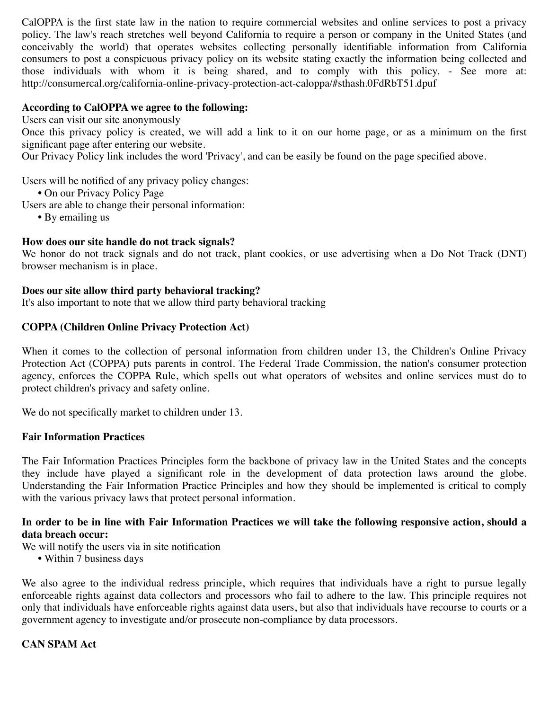CalOPPA is the first state law in the nation to require commercial websites and online services to post a privacy policy. The law's reach stretches well beyond California to require a person or company in the United States (and conceivably the world) that operates websites collecting personally identifiable information from California consumers to post a conspicuous privacy policy on its website stating exactly the information being collected and those individuals with whom it is being shared, and to comply with this policy. - See more at: http://consumercal.org/california-online-privacy-protection-act-caloppa/#sthash.0FdRbT51.dpuf

# **According to CalOPPA we agree to the following:**

Users can visit our site anonymously

Once this privacy policy is created, we will add a link to it on our home page, or as a minimum on the first significant page after entering our website.

Our Privacy Policy link includes the word 'Privacy', and can be easily be found on the page specified above.

Users will be notified of any privacy policy changes:

- **•** On our Privacy Policy Page
- Users are able to change their personal information:
	- **•** By emailing us

#### **How does our site handle do not track signals?**

We honor do not track signals and do not track, plant cookies, or use advertising when a Do Not Track (DNT) browser mechanism is in place.

#### **Does our site allow third party behavioral tracking?**

It's also important to note that we allow third party behavioral tracking

# **COPPA (Children Online Privacy Protection Act)**

When it comes to the collection of personal information from children under 13, the Children's Online Privacy Protection Act (COPPA) puts parents in control. The Federal Trade Commission, the nation's consumer protection agency, enforces the COPPA Rule, which spells out what operators of websites and online services must do to protect children's privacy and safety online.

We do not specifically market to children under 13.

#### **Fair Information Practices**

The Fair Information Practices Principles form the backbone of privacy law in the United States and the concepts they include have played a significant role in the development of data protection laws around the globe. Understanding the Fair Information Practice Principles and how they should be implemented is critical to comply with the various privacy laws that protect personal information.

# **In order to be in line with Fair Information Practices we will take the following responsive action, should a data breach occur:**

- We will notify the users via in site notification
	- **•** Within 7 business days

We also agree to the individual redress principle, which requires that individuals have a right to pursue legally enforceable rights against data collectors and processors who fail to adhere to the law. This principle requires not only that individuals have enforceable rights against data users, but also that individuals have recourse to courts or a government agency to investigate and/or prosecute non-compliance by data processors.

#### **CAN SPAM Act**